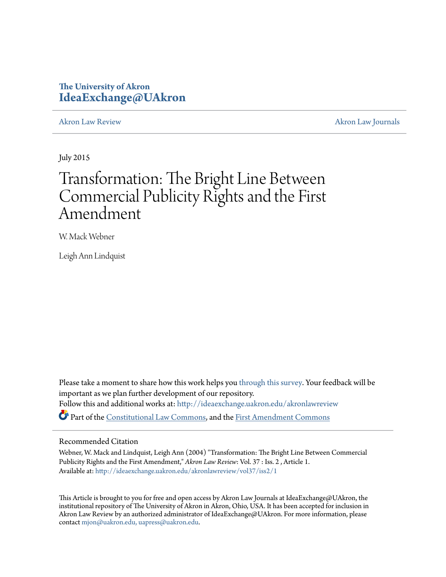# **The University of Akron [IdeaExchange@UAkron](http://ideaexchange.uakron.edu?utm_source=ideaexchange.uakron.edu%2Fakronlawreview%2Fvol37%2Fiss2%2F1&utm_medium=PDF&utm_campaign=PDFCoverPages)**

[Akron Law Review](http://ideaexchange.uakron.edu/akronlawreview?utm_source=ideaexchange.uakron.edu%2Fakronlawreview%2Fvol37%2Fiss2%2F1&utm_medium=PDF&utm_campaign=PDFCoverPages) [Akron Law Journals](http://ideaexchange.uakron.edu/akronlawjournals?utm_source=ideaexchange.uakron.edu%2Fakronlawreview%2Fvol37%2Fiss2%2F1&utm_medium=PDF&utm_campaign=PDFCoverPages)

July 2015

# Transformation: The Bright Line Between Commercial Publicity Rights and the First Amendment

W. Mack Webner

Leigh Ann Lindquist

Please take a moment to share how this work helps you [through this survey.](http://survey.az1.qualtrics.com/SE/?SID=SV_eEVH54oiCbOw05f&URL=http://ideaexchange.uakron.edu/akronlawreview/vol37/iss2/1) Your feedback will be important as we plan further development of our repository. Follow this and additional works at: [http://ideaexchange.uakron.edu/akronlawreview](http://ideaexchange.uakron.edu/akronlawreview?utm_source=ideaexchange.uakron.edu%2Fakronlawreview%2Fvol37%2Fiss2%2F1&utm_medium=PDF&utm_campaign=PDFCoverPages) Part of the [Constitutional Law Commons,](http://network.bepress.com/hgg/discipline/589?utm_source=ideaexchange.uakron.edu%2Fakronlawreview%2Fvol37%2Fiss2%2F1&utm_medium=PDF&utm_campaign=PDFCoverPages) and the [First Amendment Commons](http://network.bepress.com/hgg/discipline/1115?utm_source=ideaexchange.uakron.edu%2Fakronlawreview%2Fvol37%2Fiss2%2F1&utm_medium=PDF&utm_campaign=PDFCoverPages)

#### Recommended Citation

Webner, W. Mack and Lindquist, Leigh Ann (2004) "Transformation: The Bright Line Between Commercial Publicity Rights and the First Amendment," *Akron Law Review*: Vol. 37 : Iss. 2 , Article 1. Available at: [http://ideaexchange.uakron.edu/akronlawreview/vol37/iss2/1](http://ideaexchange.uakron.edu/akronlawreview/vol37/iss2/1?utm_source=ideaexchange.uakron.edu%2Fakronlawreview%2Fvol37%2Fiss2%2F1&utm_medium=PDF&utm_campaign=PDFCoverPages)

This Article is brought to you for free and open access by Akron Law Journals at IdeaExchange@UAkron, the institutional repository of The University of Akron in Akron, Ohio, USA. It has been accepted for inclusion in Akron Law Review by an authorized administrator of IdeaExchange@UAkron. For more information, please contact [mjon@uakron.edu, uapress@uakron.edu.](mailto:mjon@uakron.edu,%20uapress@uakron.edu)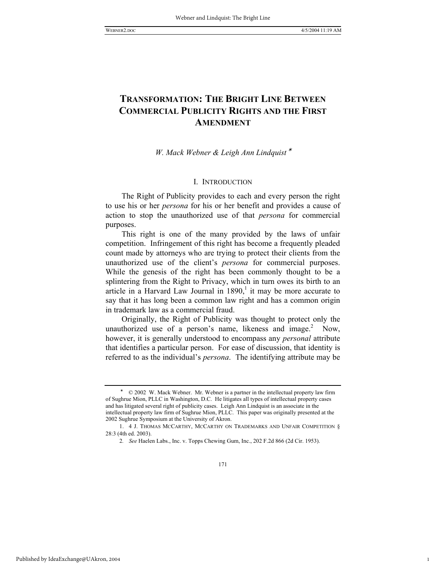1

## **TRANSFORMATION: THE BRIGHT LINE BETWEEN COMMERCIAL PUBLICITY RIGHTS AND THE FIRST AMENDMENT**

*W. Mack Webner & Leigh Ann Lindquist* <sup>∗</sup>

#### I. INTRODUCTION

The Right of Publicity provides to each and every person the right to use his or her *persona* for his or her benefit and provides a cause of action to stop the unauthorized use of that *persona* for commercial purposes.

This right is one of the many provided by the laws of unfair competition. Infringement of this right has become a frequently pleaded count made by attorneys who are trying to protect their clients from the unauthorized use of the client's *persona* for commercial purposes. While the genesis of the right has been commonly thought to be a splintering from the Right to Privacy, which in turn owes its birth to an article in a Harvard Law Journal in  $1890<sup>1</sup>$ , it may be more accurate to say that it has long been a common law right and has a common origin in trademark law as a commercial fraud.

Originally, the Right of Publicity was thought to protect only the unauthorized use of a person's name, likeness and  $image<sup>2</sup>$  Now, however, it is generally understood to encompass any *personal* attribute that identifies a particular person. For ease of discussion, that identity is referred to as the individual's *persona*. The identifying attribute may be

<sup>∗</sup> © 2002 W. Mack Webner. Mr. Webner is a partner in the intellectual property law firm of Sughrue Mion, PLLC in Washington, D.C. He litigates all types of intellectual property cases and has litigated several right of publicity cases. Leigh Ann Lindquist is an associate in the intellectual property law firm of Sughrue Mion, PLLC. This paper was originally presented at the 2002 Sughrue Symposium at the University of Akron.

 <sup>1. 4</sup> J. THOMAS MCCARTHY, MCCARTHY ON TRADEMARKS AND UNFAIR COMPETITION § 28:3 (4th ed. 2003).

<sup>2</sup>*. See* Haelen Labs., Inc. v. Topps Chewing Gum, Inc., 202 F.2d 866 (2d Cir. 1953).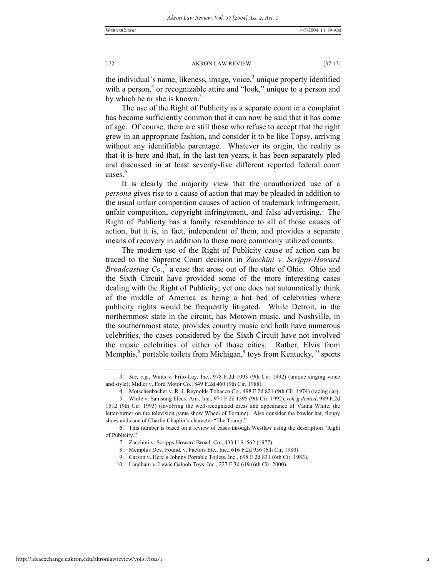the individual's name, likeness, image, voice, $3$  unique property identified with a person,<sup>4</sup> or recognizable attire and "look," unique to a person and by which he or she is known.<sup>5</sup>

The use of the Right of Publicity as a separate count in a complaint has become sufficiently common that it can now be said that it has come of age. Of course, there are still those who refuse to accept that the right grew in an appropriate fashion, and consider it to be like Topsy, arriving without any identifiable parentage. Whatever its origin, the reality is that it is here and that, in the last ten years, it has been separately pled and discussed in at least seventy-five different reported federal court cases.<sup>6</sup>

It is clearly the majority view that the unauthorized use of a *persona* gives rise to a cause of action that may be pleaded in addition to the usual unfair competition causes of action of trademark infringement, unfair competition, copyright infringement, and false advertising. The Right of Publicity has a family resemblance to all of those causes of action, but it is, in fact, independent of them, and provides a separate means of recovery in addition to those more commonly utilized counts.

The modern use of the Right of Publicity cause of action can be traced to the Supreme Court decision in *Zacchini v. Scripps-Howard Broadcasting Co.*,<sup>7</sup> a case that arose out of the state of Ohio. Ohio and the Sixth Circuit have provided some of the more interesting cases dealing with the Right of Publicity; yet one does not automatically think of the middle of America as being a hot bed of celebrities where publicity rights would be frequently litigated. While Detroit, in the northernmost state in the circuit, has Motown music, and Nashville, in the southernmost state, provides country music and both have numerous celebrities, the cases considered by the Sixth Circuit have not involved the music celebrities of either of those cities. Rather, Elvis from Memphis,<sup>8</sup> portable toilets from Michigan,<sup>9</sup> toys from Kentucky,<sup>10</sup> sports

<sup>3</sup>*. See, e.g.*, Waits v. Frito-Lay, Inc., 978 F.2d 1093 (9th Cir. 1992) (unique singing voice and style); Midler v. Ford Motor Co., 849 F.2d 460 (9th Cir. 1988).

 <sup>4.</sup> Motschenbacher v. R. J. Reynolds Tobacco Co., 498 F.2d 821 (9th Cir. 1974) (racing car).

 <sup>5.</sup> White v. Samsung Elecs. Am., Inc., 971 F.2d 1395 (9th Cir. 1992), *reh'g denied*, 989 F.2d 1512 (9th Cir. 1993) (involving the well-recognized dress and appearance of Vanna White, the letter-turner on the television game show Wheel of Fortune). Also consider the bowler hat, floppy shoes and cane of Charlie Chaplin's character "The Tramp."

 <sup>6.</sup> This number is based on a review of cases through Westlaw using the description "Right of Publicity."

 <sup>7.</sup> Zacchini v. Scripps-Howard Broad. Co., 433 U.S. 562 (1977).

 <sup>8.</sup> Memphis Dev. Found. v. Factors Etc., Inc., 616 F.2d 956 (6th Cir. 1980).

 <sup>9.</sup> Carson v. Here's Johnny Portable Toilets, Inc., 698 F.2d 831 (6th Cir. 1983).

 <sup>10.</sup> Landham v. Lewis Galoob Toys, Inc., 227 F.3d 619 (6th Cir. 2000).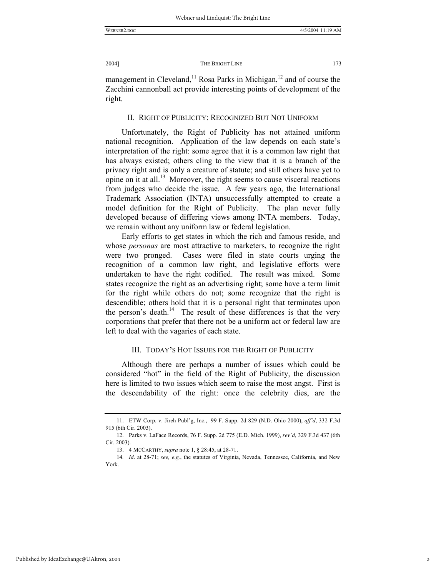WEBNER2.DOC 4/5/2004 11:19 AM

2004] THE BRIGHT LINE 173

management in Cleveland,<sup>11</sup> Rosa Parks in Michigan,<sup>12</sup> and of course the Zacchini cannonball act provide interesting points of development of the right.

#### II. RIGHT OF PUBLICITY: RECOGNIZED BUT NOT UNIFORM

Unfortunately, the Right of Publicity has not attained uniform national recognition. Application of the law depends on each state's interpretation of the right: some agree that it is a common law right that has always existed; others cling to the view that it is a branch of the privacy right and is only a creature of statute; and still others have yet to opine on it at all.<sup>13</sup> Moreover, the right seems to cause visceral reactions from judges who decide the issue. A few years ago, the International Trademark Association (INTA) unsuccessfully attempted to create a model definition for the Right of Publicity. The plan never fully developed because of differing views among INTA members. Today, we remain without any uniform law or federal legislation.

Early efforts to get states in which the rich and famous reside, and whose *personas* are most attractive to marketers, to recognize the right were two pronged. Cases were filed in state courts urging the recognition of a common law right, and legislative efforts were undertaken to have the right codified. The result was mixed. Some states recognize the right as an advertising right; some have a term limit for the right while others do not; some recognize that the right is descendible; others hold that it is a personal right that terminates upon the person's death.<sup>14</sup> The result of these differences is that the very corporations that prefer that there not be a uniform act or federal law are left to deal with the vagaries of each state.

#### III. TODAY**'**S HOT ISSUES FOR THE RIGHT OF PUBLICITY

Although there are perhaps a number of issues which could be considered "hot" in the field of the Right of Publicity, the discussion here is limited to two issues which seem to raise the most angst. First is the descendability of the right: once the celebrity dies, are the

 <sup>11.</sup> ETW Corp. v. Jireh Publ'g, Inc., 99 F. Supp. 2d 829 (N.D. Ohio 2000), *aff'd*, 332 F.3d 915 (6th Cir. 2003).

 <sup>12.</sup> Parks v. LaFace Records, 76 F. Supp. 2d 775 (E.D. Mich. 1999), *rev'd*, 329 F.3d 437 (6th Cir. 2003).

 <sup>13. 4</sup> MCCARTHY, *supra* note 1, § 28:45, at 28-71.

<sup>14</sup>*. Id*. at 28-71; *see, e.g.*, the statutes of Virginia, Nevada, Tennessee, California, and New York.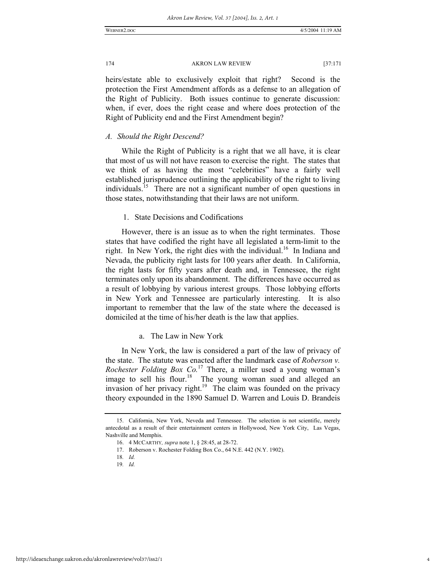heirs/estate able to exclusively exploit that right? Second is the protection the First Amendment affords as a defense to an allegation of the Right of Publicity. Both issues continue to generate discussion: when, if ever, does the right cease and where does protection of the Right of Publicity end and the First Amendment begin?

#### *A. Should the Right Descend?*

While the Right of Publicity is a right that we all have, it is clear that most of us will not have reason to exercise the right. The states that we think of as having the most "celebrities" have a fairly well established jurisprudence outlining the applicability of the right to living individuals.<sup>15</sup> There are not a significant number of open questions in those states, notwithstanding that their laws are not uniform.

#### 1. State Decisions and Codifications

However, there is an issue as to when the right terminates. Those states that have codified the right have all legislated a term-limit to the right. In New York, the right dies with the individual.<sup>16</sup> In Indiana and Nevada, the publicity right lasts for 100 years after death. In California, the right lasts for fifty years after death and, in Tennessee, the right terminates only upon its abandonment. The differences have occurred as a result of lobbying by various interest groups. Those lobbying efforts in New York and Tennessee are particularly interesting. It is also important to remember that the law of the state where the deceased is domiciled at the time of his/her death is the law that applies.

#### a. The Law in New York

In New York, the law is considered a part of the law of privacy of the state. The statute was enacted after the landmark case of *Roberson v. Rochester Folding Box Co.*17 There, a miller used a young woman's image to sell his flour.<sup>18</sup> The young woman sued and alleged an invasion of her privacy right.<sup>19</sup> The claim was founded on the privacy theory expounded in the 1890 Samuel D. Warren and Louis D. Brandeis

 <sup>15.</sup> California, New York, Neveda and Tennessee. The selection is not scientific, merely antecdotal as a result of their entertainment centers in Hollywood, New York City, Las Vegas, Nashville and Memphis.

 <sup>16. 4</sup> MCCARTHY*, supra* note 1, § 28:45, at 28-72.

 <sup>17.</sup> Roberson v. Rochester Folding Box Co., 64 N.E. 442 (N.Y. 1902).

<sup>18</sup>*. Id.*

<sup>19</sup>*. Id.*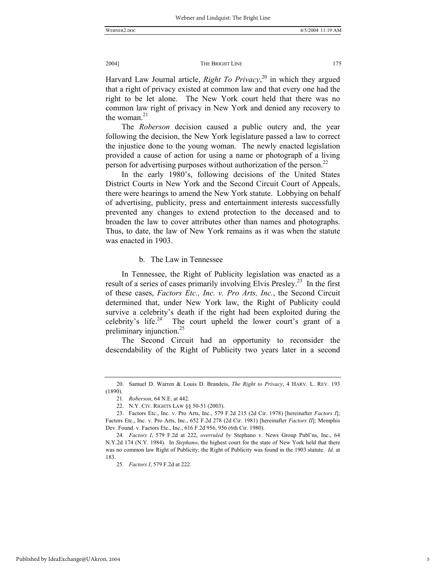Harvard Law Journal article, *Right To Privacy*, 20 in which they argued that a right of privacy existed at common law and that every one had the right to be let alone. The New York court held that there was no common law right of privacy in New York and denied any recovery to the woman. $21$ 

The *Roberson* decision caused a public outcry and, the year following the decision, the New York legislature passed a law to correct the injustice done to the young woman. The newly enacted legislation provided a cause of action for using a name or photograph of a living person for advertising purposes without authorization of the person.<sup>22</sup>

In the early 1980's, following decisions of the United States District Courts in New York and the Second Circuit Court of Appeals, there were hearings to amend the New York statute. Lobbying on behalf of advertising, publicity, press and entertainment interests successfully prevented any changes to extend protection to the deceased and to broaden the law to cover attributes other than names and photographs. Thus, to date, the law of New York remains as it was when the statute was enacted in 1903.

#### b. The Law in Tennessee

In Tennessee, the Right of Publicity legislation was enacted as a result of a series of cases primarily involving Elvis Presley.<sup>23</sup> In the first of these cases, *Factors Etc., Inc. v. Pro Arts, Inc.*, the Second Circuit determined that, under New York law, the Right of Publicity could survive a celebrity's death if the right had been exploited during the celebrity's life.<sup>24</sup> The court upheld the lower court's grant of a preliminary injunction.<sup>25</sup>

The Second Circuit had an opportunity to reconsider the descendability of the Right of Publicity two years later in a second

 <sup>20.</sup> Samuel D. Warren & Louis D. Brandeis, *The Right to Privacy*, 4 HARV. L. REV. 193 (1890).

<sup>21</sup>*. Roberson*, 64 N.E. at 442.

 <sup>22.</sup> N.Y. CIV. RIGHTS LAW §§ 50-51 (2003).

 <sup>23.</sup> Factors Etc., Inc. v. Pro Arts, Inc., 579 F.2d 215 (2d Cir. 1978) [hereinafter *Factors I*]; Factors Etc., Inc. v. Pro Arts, Inc., 652 F.2d 278 (2d Cir. 1981) [hereinafter *Factors II*]; Memphis Dev. Found. v. Factors Etc., Inc., 616 F.2d 956, 956 (6th Cir. 1980).

<sup>24</sup>*. Factors I*, 579 F.2d at 222, *overruled by* Stephano v. News Group Publ'ns, Inc., 64 N.Y.2d 174 (N.Y. 1984). In *Stephano*, the highest court for the state of New York held that there was no common law Right of Publicity; the Right of Publicity was found in the 1903 statute. *Id.* at 183.

<sup>25</sup>*. Factors I*, 579 F.2d at 222.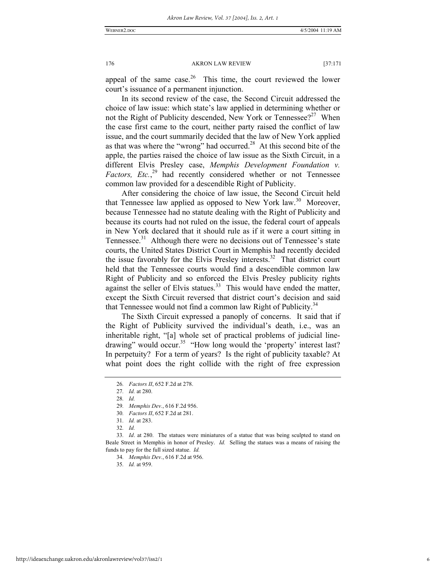appeal of the same case. $26$  This time, the court reviewed the lower court's issuance of a permanent injunction.

In its second review of the case, the Second Circuit addressed the choice of law issue: which state's law applied in determining whether or not the Right of Publicity descended, New York or Tennessee?<sup>27</sup> When the case first came to the court, neither party raised the conflict of law issue, and the court summarily decided that the law of New York applied as that was where the "wrong" had occurred.28 At this second bite of the apple, the parties raised the choice of law issue as the Sixth Circuit, in a different Elvis Presley case, *Memphis Development Foundation v.*  Factors, Etc.,<sup>29</sup> had recently considered whether or not Tennessee common law provided for a descendible Right of Publicity.

After considering the choice of law issue, the Second Circuit held that Tennessee law applied as opposed to New York law.<sup>30</sup> Moreover, because Tennessee had no statute dealing with the Right of Publicity and because its courts had not ruled on the issue, the federal court of appeals in New York declared that it should rule as if it were a court sitting in Tennessee. $31$  Although there were no decisions out of Tennessee's state courts, the United States District Court in Memphis had recently decided the issue favorably for the Elvis Presley interests.<sup>32</sup> That district court held that the Tennessee courts would find a descendible common law Right of Publicity and so enforced the Elvis Presley publicity rights against the seller of Elvis statues.<sup>33</sup> This would have ended the matter, except the Sixth Circuit reversed that district court's decision and said that Tennessee would not find a common law Right of Publicity.<sup>34</sup>

The Sixth Circuit expressed a panoply of concerns. It said that if the Right of Publicity survived the individual's death, i.e., was an inheritable right, "[a] whole set of practical problems of judicial linedrawing" would occur.<sup>35</sup> "How long would the 'property' interest last? In perpetuity? For a term of years? Is the right of publicity taxable? At what point does the right collide with the right of free expression

35*. Id.* at 959.

<sup>26</sup>*. Factors II*, 652 F.2d at 278.

<sup>27</sup>*. Id.* at 280.

<sup>28</sup>*. Id.*

<sup>29</sup>*. Memphis Dev.*, 616 F.2d 956.

<sup>30</sup>*. Factors II*, 652 F.2d at 281.

<sup>31</sup>*. Id.* at 283.

<sup>32</sup>*. Id.*

<sup>33</sup>*. Id*. at 280. The statues were miniatures of a statue that was being sculpted to stand on Beale Street in Memphis in honor of Presley. *Id.* Selling the statues was a means of raising the funds to pay for the full sized statue. *Id.*

<sup>34</sup>*. Memphis Dev.*, 616 F.2d at 956.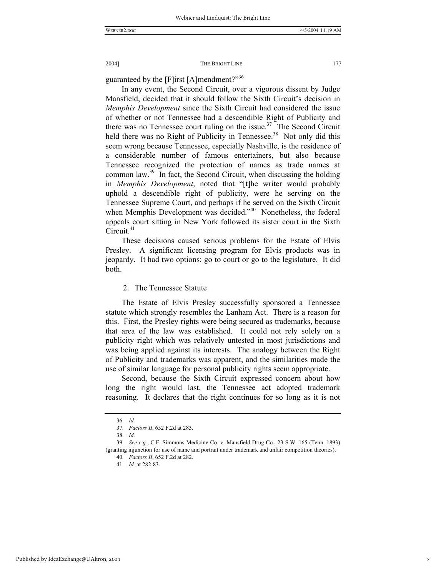guaranteed by the [F]irst [A]mendment?"<sup>36</sup>

In any event, the Second Circuit, over a vigorous dissent by Judge Mansfield, decided that it should follow the Sixth Circuit's decision in *Memphis Development* since the Sixth Circuit had considered the issue of whether or not Tennessee had a descendible Right of Publicity and there was no Tennessee court ruling on the issue.<sup>37</sup> The Second Circuit held there was no Right of Publicity in Tennessee.<sup>38</sup> Not only did this seem wrong because Tennessee, especially Nashville, is the residence of a considerable number of famous entertainers, but also because Tennessee recognized the protection of names as trade names at common law.39 In fact, the Second Circuit, when discussing the holding in *Memphis Development*, noted that "[t]he writer would probably uphold a descendible right of publicity, were he serving on the Tennessee Supreme Court, and perhaps if he served on the Sixth Circuit when Memphis Development was decided."<sup>40</sup> Nonetheless, the federal appeals court sitting in New York followed its sister court in the Sixth Circuit. $41$ 

These decisions caused serious problems for the Estate of Elvis Presley. A significant licensing program for Elvis products was in jeopardy. It had two options: go to court or go to the legislature. It did both.

#### 2. The Tennessee Statute

The Estate of Elvis Presley successfully sponsored a Tennessee statute which strongly resembles the Lanham Act. There is a reason for this. First, the Presley rights were being secured as trademarks, because that area of the law was established. It could not rely solely on a publicity right which was relatively untested in most jurisdictions and was being applied against its interests. The analogy between the Right of Publicity and trademarks was apparent, and the similarities made the use of similar language for personal publicity rights seem appropriate.

Second, because the Sixth Circuit expressed concern about how long the right would last, the Tennessee act adopted trademark reasoning. It declares that the right continues for so long as it is not

<sup>36</sup>*. Id.*

<sup>37</sup>*. Factors II*, 652 F.2d at 283.

<sup>38</sup>*. Id.*

<sup>39</sup>*. See e.g.*, C.F. Simmons Medicine Co. v. Mansfield Drug Co., 23 S.W. 165 (Tenn. 1893) (granting injunction for use of name and portrait under trademark and unfair competition theories).

<sup>40</sup>*. Factors II*, 652 F.2d at 282.

<sup>41</sup>*. Id.* at 282-83.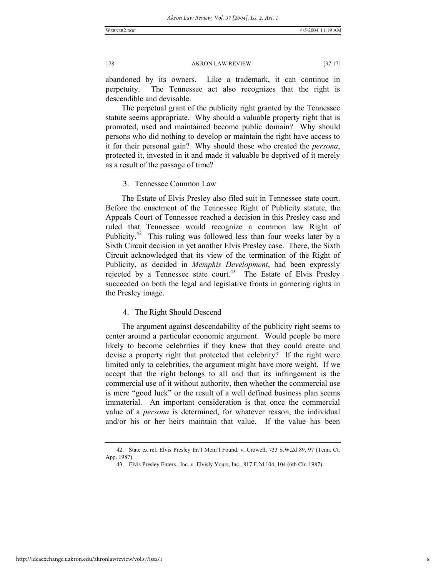abandoned by its owners. Like a trademark, it can continue in perpetuity. The Tennessee act also recognizes that the right is descendible and devisable.

The perpetual grant of the publicity right granted by the Tennessee statute seems appropriate. Why should a valuable property right that is promoted, used and maintained become public domain? Why should persons who did nothing to develop or maintain the right have access to it for their personal gain? Why should those who created the *persona*, protected it, invested in it and made it valuable be deprived of it merely as a result of the passage of time?

3. Tennessee Common Law

The Estate of Elvis Presley also filed suit in Tennessee state court. Before the enactment of the Tennessee Right of Publicity statute, the Appeals Court of Tennessee reached a decision in this Presley case and ruled that Tennessee would recognize a common law Right of Publicity.<sup>42</sup> This ruling was followed less than four weeks later by a Sixth Circuit decision in yet another Elvis Presley case. There, the Sixth Circuit acknowledged that its view of the termination of the Right of Publicity, as decided in *Memphis Development*, had been expressly rejected by a Tennessee state court.<sup>43</sup> The Estate of Elvis Presley succeeded on both the legal and legislative fronts in garnering rights in the Presley image.

#### 4. The Right Should Descend

The argument against descendability of the publicity right seems to center around a particular economic argument. Would people be more likely to become celebrities if they knew that they could create and devise a property right that protected that celebrity? If the right were limited only to celebrities, the argument might have more weight. If we accept that the right belongs to all and that its infringement is the commercial use of it without authority, then whether the commercial use is mere "good luck" or the result of a well defined business plan seems immaterial. An important consideration is that once the commercial value of a *persona* is determined, for whatever reason, the individual and/or his or her heirs maintain that value. If the value has been

 <sup>42.</sup> State ex rel. Elvis Presley Int'l Mem'l Found. v. Crowell, 733 S.W.2d 89, 97 (Tenn. Ct. App. 1987).

 <sup>43.</sup> Elvis Presley Enters., Inc. v. Elvisly Yours, Inc., 817 F.2d 104, 104 (6th Cir. 1987).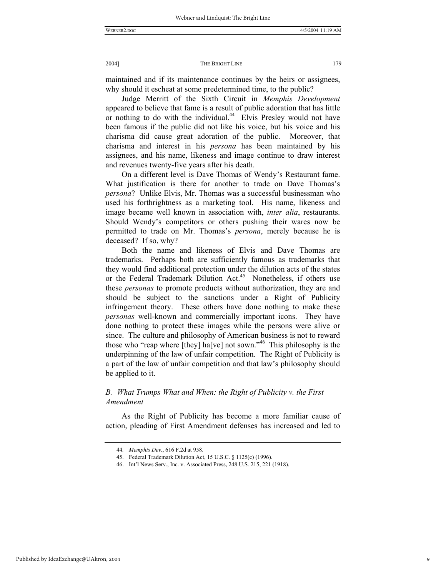maintained and if its maintenance continues by the heirs or assignees, why should it escheat at some predetermined time, to the public?

Judge Merritt of the Sixth Circuit in *Memphis Development* appeared to believe that fame is a result of public adoration that has little or nothing to do with the individual.<sup>44</sup> Elvis Presley would not have been famous if the public did not like his voice, but his voice and his charisma did cause great adoration of the public. Moreover, that charisma and interest in his *persona* has been maintained by his assignees, and his name, likeness and image continue to draw interest and revenues twenty-five years after his death.

On a different level is Dave Thomas of Wendy's Restaurant fame. What justification is there for another to trade on Dave Thomas's *persona*? Unlike Elvis, Mr. Thomas was a successful businessman who used his forthrightness as a marketing tool. His name, likeness and image became well known in association with, *inter alia*, restaurants. Should Wendy's competitors or others pushing their wares now be permitted to trade on Mr. Thomas's *persona*, merely because he is deceased? If so, why?

Both the name and likeness of Elvis and Dave Thomas are trademarks. Perhaps both are sufficiently famous as trademarks that they would find additional protection under the dilution acts of the states or the Federal Trademark Dilution Act.<sup>45</sup> Nonetheless, if others use these *personas* to promote products without authorization, they are and should be subject to the sanctions under a Right of Publicity infringement theory. These others have done nothing to make these *personas* well-known and commercially important icons. They have done nothing to protect these images while the persons were alive or since. The culture and philosophy of American business is not to reward those who "reap where  $[$ they $]$  ha $[$ ve $]$  not sown."<sup>46</sup> This philosophy is the underpinning of the law of unfair competition. The Right of Publicity is a part of the law of unfair competition and that law's philosophy should be applied to it.

### *B. What Trumps What and When: the Right of Publicity v. the First Amendment*

As the Right of Publicity has become a more familiar cause of action, pleading of First Amendment defenses has increased and led to

<sup>44</sup>*. Memphis Dev.*, 616 F.2d at 958.

 <sup>45.</sup> Federal Trademark Dilution Act, 15 U.S.C. § 1125(c) (1996).

 <sup>46.</sup> Int'l News Serv., Inc. v. Associated Press, 248 U.S. 215, 221 (1918).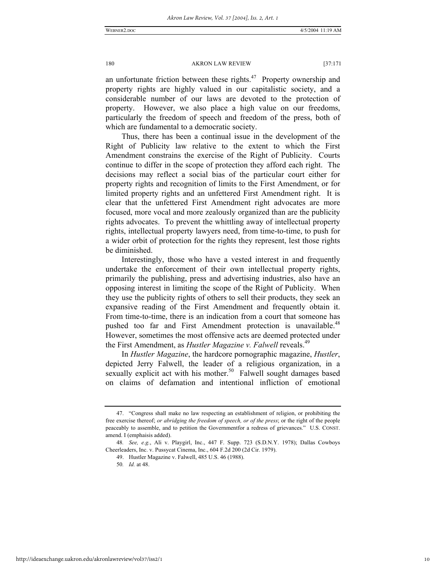an unfortunate friction between these rights. $47$  Property ownership and property rights are highly valued in our capitalistic society, and a considerable number of our laws are devoted to the protection of property. However, we also place a high value on our freedoms, particularly the freedom of speech and freedom of the press, both of which are fundamental to a democratic society.

Thus, there has been a continual issue in the development of the Right of Publicity law relative to the extent to which the First Amendment constrains the exercise of the Right of Publicity. Courts continue to differ in the scope of protection they afford each right. The decisions may reflect a social bias of the particular court either for property rights and recognition of limits to the First Amendment, or for limited property rights and an unfettered First Amendment right. It is clear that the unfettered First Amendment right advocates are more focused, more vocal and more zealously organized than are the publicity rights advocates. To prevent the whittling away of intellectual property rights, intellectual property lawyers need, from time-to-time, to push for a wider orbit of protection for the rights they represent, lest those rights be diminished.

Interestingly, those who have a vested interest in and frequently undertake the enforcement of their own intellectual property rights, primarily the publishing, press and advertising industries, also have an opposing interest in limiting the scope of the Right of Publicity. When they use the publicity rights of others to sell their products, they seek an expansive reading of the First Amendment and frequently obtain it. From time-to-time, there is an indication from a court that someone has pushed too far and First Amendment protection is unavailable.<sup>48</sup> However, sometimes the most offensive acts are deemed protected under the First Amendment, as *Hustler Magazine v. Falwell* reveals.<sup>49</sup>

In *Hustler Magazine*, the hardcore pornographic magazine, *Hustler*, depicted Jerry Falwell, the leader of a religious organization, in a sexually explicit act with his mother.<sup>50</sup> Falwell sought damages based on claims of defamation and intentional infliction of emotional

 <sup>47. &</sup>quot;Congress shall make no law respecting an establishment of religion, or prohibiting the free exercise thereof; *or abridging the freedom of speech, or of the press*; or the right of the people peaceably to assemble, and to petition the Governmentfor a redress of grievances." U.S. CONST. amend. I (emphaisis added).

<sup>48</sup>*. See, e.g.*, Ali v. Playgirl, Inc., 447 F. Supp. 723 (S.D.N.Y. 1978); Dallas Cowboys Cheerleaders, Inc. v. Pussycat Cinema, Inc., 604 F.2d 200 (2d Cir. 1979).

 <sup>49.</sup> Hustler Magazine v. Falwell, 485 U.S. 46 (1988).

<sup>50</sup>*. Id.* at 48.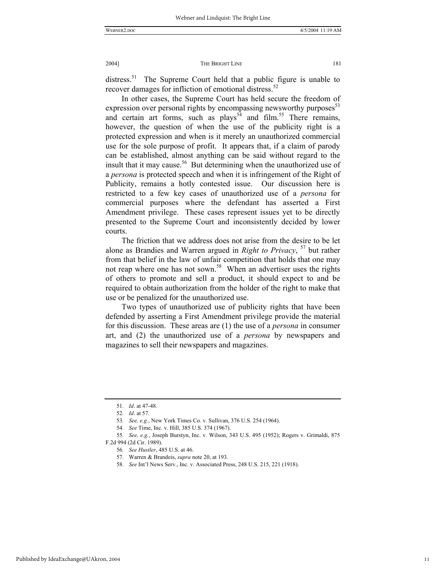distress.<sup>51</sup> The Supreme Court held that a public figure is unable to recover damages for infliction of emotional distress.<sup>52</sup>

In other cases, the Supreme Court has held secure the freedom of expression over personal rights by encompassing newsworthy purposes $5<sup>3</sup>$ and certain art forms, such as  $plays^{54}$  and film.<sup>55</sup> There remains, however, the question of when the use of the publicity right is a protected expression and when is it merely an unauthorized commercial use for the sole purpose of profit. It appears that, if a claim of parody can be established, almost anything can be said without regard to the insult that it may cause.<sup>56</sup> But determining when the unauthorized use of a *persona* is protected speech and when it is infringement of the Right of Publicity, remains a hotly contested issue. Our discussion here is restricted to a few key cases of unauthorized use of a *persona* for commercial purposes where the defendant has asserted a First Amendment privilege. These cases represent issues yet to be directly presented to the Supreme Court and inconsistently decided by lower courts.

The friction that we address does not arise from the desire to be let alone as Brandies and Warren argued in *Right to Privacy*, <sup>57</sup> but rather from that belief in the law of unfair competition that holds that one may not reap where one has not sown.<sup>58</sup> When an advertiser uses the rights of others to promote and sell a product, it should expect to and be required to obtain authorization from the holder of the right to make that use or be penalized for the unauthorized use.

Two types of unauthorized use of publicity rights that have been defended by asserting a First Amendment privilege provide the material for this discussion. These areas are (1) the use of a *persona* in consumer art, and (2) the unauthorized use of a *persona* by newspapers and magazines to sell their newspapers and magazines.

<sup>51</sup>*. Id*. at 47-48.

<sup>52</sup>*. Id*. at 57.

<sup>53</sup>*. See, e.g.*, New York Times Co. v. Sullivan, 376 U.S. 254 (1964).

<sup>54</sup>*. See* Time, Inc. v. Hill, 385 U.S. 374 (1967).

<sup>55</sup>*. See, e.g.*, Joseph Burstyn, Inc. v. Wilson, 343 U.S. 495 (1952); Rogers v. Grimaldi, 875 F.2d 994 (2d Cir. 1989).

<sup>56</sup>*. See Hustler*, 485 U.S. at 46.

 <sup>57.</sup> Warren & Brandeis, *supra* note 20, at 193.

<sup>58</sup>*. See* Int'l News Serv., Inc. v. Associated Press, 248 U.S. 215, 221 (1918).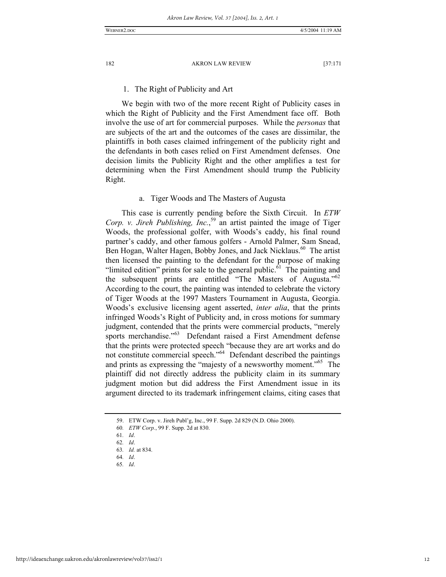#### 1. The Right of Publicity and Art

We begin with two of the more recent Right of Publicity cases in which the Right of Publicity and the First Amendment face off. Both involve the use of art for commercial purposes. While the *personas* that are subjects of the art and the outcomes of the cases are dissimilar, the plaintiffs in both cases claimed infringement of the publicity right and the defendants in both cases relied on First Amendment defenses. One decision limits the Publicity Right and the other amplifies a test for determining when the First Amendment should trump the Publicity Right.

#### a. Tiger Woods and The Masters of Augusta

This case is currently pending before the Sixth Circuit. In *ETW Corp. v. Jireh Publishing, Inc.*, 59 an artist painted the image of Tiger Woods, the professional golfer, with Woods's caddy, his final round partner's caddy, and other famous golfers - Arnold Palmer, Sam Snead, Ben Hogan, Walter Hagen, Bobby Jones, and Jack Nicklaus.<sup>60</sup> The artist then licensed the painting to the defendant for the purpose of making "limited edition" prints for sale to the general public.<sup> $\hat{6}$ 1</sup> The painting and the subsequent prints are entitled "The Masters of Augusta." $62$ According to the court, the painting was intended to celebrate the victory of Tiger Woods at the 1997 Masters Tournament in Augusta, Georgia. Woods's exclusive licensing agent asserted, *inter alia*, that the prints infringed Woods's Right of Publicity and, in cross motions for summary judgment, contended that the prints were commercial products, "merely sports merchandise."<sup>63</sup> Defendant raised a First Amendment defense that the prints were protected speech "because they are art works and do not constitute commercial speech."64 Defendant described the paintings and prints as expressing the "majesty of a newsworthy moment."<sup>65</sup> The plaintiff did not directly address the publicity claim in its summary judgment motion but did address the First Amendment issue in its argument directed to its trademark infringement claims, citing cases that

64*. Id*.

 <sup>59.</sup> ETW Corp. v. Jireh Publ'g, Inc., 99 F. Supp. 2d 829 (N.D. Ohio 2000).

<sup>60</sup>*. ETW Corp.*, 99 F. Supp. 2d at 830.

<sup>61</sup>*. Id*.

<sup>62</sup>*. Id*.

<sup>63</sup>*. Id.* at 834.

<sup>65</sup>*. Id*.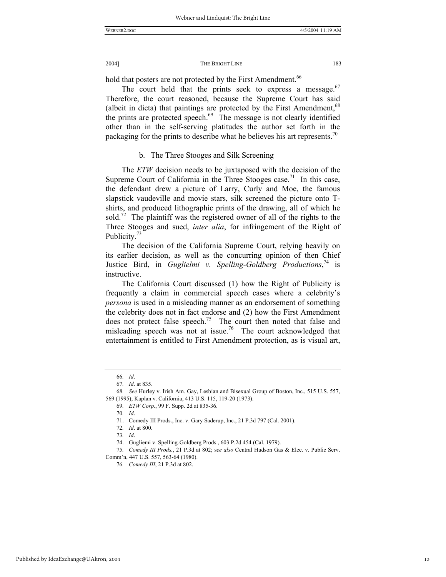hold that posters are not protected by the First Amendment.<sup>66</sup>

The court held that the prints seek to express a message. $67$ Therefore, the court reasoned, because the Supreme Court has said (albeit in dicta) that paintings are protected by the First Amendment,  $68$ the prints are protected speech.<sup>69</sup> The message is not clearly identified other than in the self-serving platitudes the author set forth in the packaging for the prints to describe what he believes his art represents.<sup>70</sup>

#### b. The Three Stooges and Silk Screening

The *ETW* decision needs to be juxtaposed with the decision of the Supreme Court of California in the Three Stooges case.<sup>71</sup> In this case, the defendant drew a picture of Larry, Curly and Moe, the famous slapstick vaudeville and movie stars, silk screened the picture onto Tshirts, and produced lithographic prints of the drawing, all of which he sold.<sup>72</sup> The plaintiff was the registered owner of all of the rights to the Three Stooges and sued, *inter alia*, for infringement of the Right of Publicity.<sup>73</sup>

The decision of the California Supreme Court, relying heavily on its earlier decision, as well as the concurring opinion of then Chief Justice Bird, in *Guglielmi v. Spelling-Goldberg Productions*,<sup>74</sup> is instructive.

The California Court discussed (1) how the Right of Publicity is frequently a claim in commercial speech cases where a celebrity's *persona* is used in a misleading manner as an endorsement of something the celebrity does not in fact endorse and (2) how the First Amendment does not protect false speech.<sup>75</sup> The court then noted that false and misleading speech was not at issue.<sup>76</sup> The court acknowledged that entertainment is entitled to First Amendment protection, as is visual art,

<sup>66</sup>*. Id*.

<sup>67</sup>*. Id*. at 835.

<sup>68</sup>*. See* Hurley v. Irish Am. Gay, Lesbian and Bisexual Group of Boston, Inc., 515 U.S. 557, 569 (1995); Kaplan v. California, 413 U.S. 115, 119-20 (1973).

<sup>69</sup>*. ETW Corp.*, 99 F. Supp. 2d at 835-36.

<sup>70</sup>*. Id*.

 <sup>71.</sup> Comedy III Prods., Inc. v. Gary Saderup, Inc., 21 P.3d 797 (Cal. 2001).

<sup>72</sup>*. Id*. at 800.

<sup>73</sup>*. Id*.

 <sup>74.</sup> Gugliemi v. Spelling-Goldberg Prods., 603 P.2d 454 (Cal. 1979).

<sup>75</sup>*. Comedy III Prods.*, 21 P.3d at 802; s*ee also* Central Hudson Gas & Elec. v. Public Serv. Comm'n, 447 U.S. 557, 563-64 (1980).

<sup>76</sup>*. Comedy III*, 21 P.3d at 802.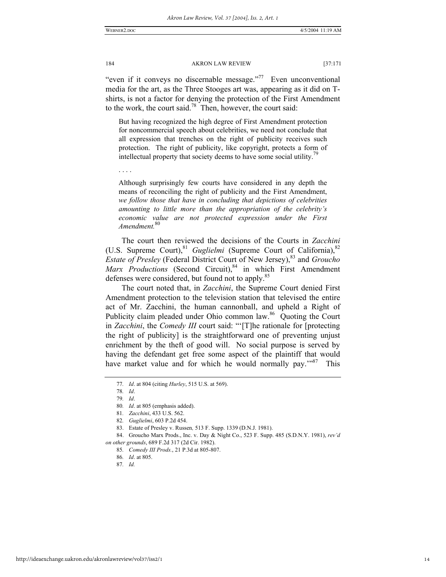"even if it conveys no discernable message."<sup>77</sup> Even unconventional media for the art, as the Three Stooges art was, appearing as it did on Tshirts, is not a factor for denying the protection of the First Amendment to the work, the court said.<sup>78</sup> Then, however, the court said:

But having recognized the high degree of First Amendment protection for noncommercial speech about celebrities, we need not conclude that all expression that trenches on the right of publicity receives such protection. The right of publicity, like copyright, protects a form of intellectual property that society deems to have some social utility.<sup>79</sup>

. . . .

Although surprisingly few courts have considered in any depth the means of reconciling the right of publicity and the First Amendment, *we follow those that have in concluding that depictions of celebrities amounting to little more than the appropriation of the celebrity's economic value are not protected expression under the First Amendment.*<sup>80</sup>

The court then reviewed the decisions of the Courts in *Zacchini* (U.S. Supreme Court),<sup>81</sup> *Guglielmi* (Supreme Court of California),<sup>82</sup> *Estate of Presley* (Federal District Court of New Jersey),<sup>83</sup> and *Groucho Marx Productions* (Second Circuit),<sup>84</sup> in which First Amendment defenses were considered, but found not to apply.<sup>85</sup>

The court noted that, in *Zacchini*, the Supreme Court denied First Amendment protection to the television station that televised the entire act of Mr. Zacchini, the human cannonball, and upheld a Right of Publicity claim pleaded under Ohio common law.<sup>86</sup> Quoting the Court in *Zacchini*, the *Comedy III* court said: "'[T]he rationale for [protecting the right of publicity] is the straightforward one of preventing unjust enrichment by the theft of good will. No social purpose is served by having the defendant get free some aspect of the plaintiff that would have market value and for which he would normally pay."<sup>87</sup> This

<sup>77</sup>*. Id*. at 804 (citing *Hurley*, 515 U.S. at 569).

<sup>78</sup>*. Id*.

<sup>79</sup>*. Id*.

<sup>80</sup>*. Id*. at 805 (emphasis added).

<sup>81</sup>*. Zacchini*, 433 U.S. 562.

<sup>82</sup>*. Guglielmi*, 603 P.2d 454.

 <sup>83.</sup> Estate of Presley v. Russen*,* 513 F. Supp. 1339 (D.N.J. 1981).

 <sup>84.</sup> Groucho Marx Prods., Inc. v. Day & Night Co., 523 F. Supp. 485 (S.D.N.Y. 1981), *rev'd on other grounds*, 689 F.2d 317 (2d Cir. 1982).

<sup>85</sup>*. Comedy III Prods.*, 21 P.3d at 805-807.

<sup>86</sup>*. Id*. at 805.

<sup>87</sup>*. Id.*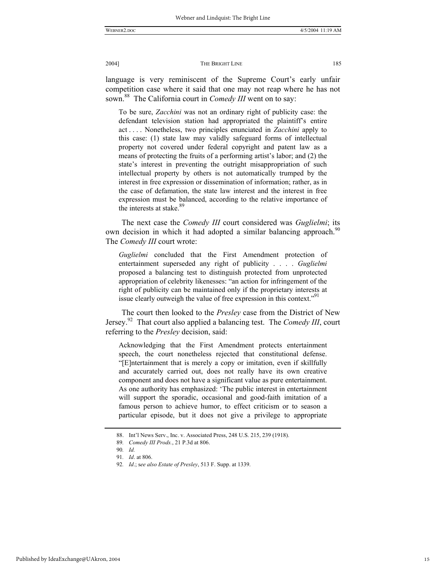language is very reminiscent of the Supreme Court's early unfair competition case where it said that one may not reap where he has not sown.<sup>88</sup> The California court in *Comedy III* went on to say:

To be sure, *Zacchini* was not an ordinary right of publicity case: the defendant television station had appropriated the plaintiff's entire act . . . . Nonetheless, two principles enunciated in *Zacchini* apply to this case: (1) state law may validly safeguard forms of intellectual property not covered under federal copyright and patent law as a means of protecting the fruits of a performing artist's labor; and (2) the state's interest in preventing the outright misappropriation of such intellectual property by others is not automatically trumped by the interest in free expression or dissemination of information; rather, as in the case of defamation, the state law interest and the interest in free expression must be balanced, according to the relative importance of the interests at stake.<sup>89</sup>

The next case the *Comedy III* court considered was *Guglielmi*; its own decision in which it had adopted a similar balancing approach.<sup>90</sup> The *Comedy III* court wrote:

*Guglielmi* concluded that the First Amendment protection of entertainment superseded any right of publicity . . . . *Guglielmi* proposed a balancing test to distinguish protected from unprotected appropriation of celebrity likenesses: "an action for infringement of the right of publicity can be maintained only if the proprietary interests at issue clearly outweigh the value of free expression in this context."<sup>91</sup>

The court then looked to the *Presley* case from the District of New Jersey.92 That court also applied a balancing test. The *Comedy III*, court referring to the *Presley* decision, said:

Acknowledging that the First Amendment protects entertainment speech, the court nonetheless rejected that constitutional defense. "[E]ntertainment that is merely a copy or imitation, even if skillfully and accurately carried out, does not really have its own creative component and does not have a significant value as pure entertainment. As one authority has emphasized: 'The public interest in entertainment will support the sporadic, occasional and good-faith imitation of a famous person to achieve humor, to effect criticism or to season a particular episode, but it does not give a privilege to appropriate

 <sup>88.</sup> Int'l News Serv., Inc. v. Associated Press, 248 U.S. 215, 239 (1918).

<sup>89</sup>*. Comedy III Prods.*, 21 P.3d at 806.

<sup>90</sup>*. Id.*

<sup>91</sup>*. Id*. at 806.

<sup>92</sup>*. Id*.; s*ee also Estate of Presley*, 513 F. Supp. at 1339.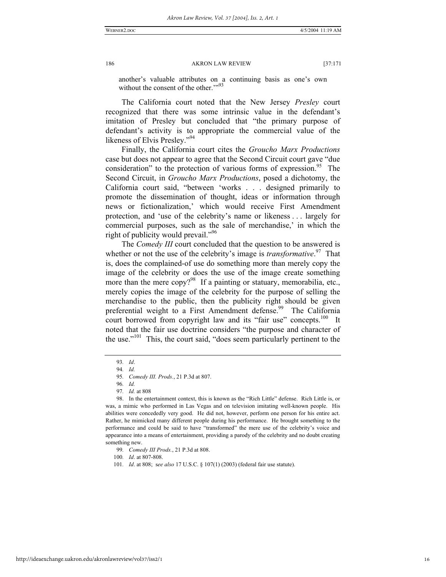another's valuable attributes on a continuing basis as one's own without the consent of the other."<sup>93</sup>

The California court noted that the New Jersey *Presley* court recognized that there was some intrinsic value in the defendant's imitation of Presley but concluded that "the primary purpose of defendant's activity is to appropriate the commercial value of the likeness of Elvis Presley."<sup>94</sup>

Finally, the California court cites the *Groucho Marx Productions* case but does not appear to agree that the Second Circuit court gave "due consideration" to the protection of various forms of expression.<sup>95</sup> The Second Circuit, in *Groucho Marx Productions*, posed a dichotomy, the California court said, "between 'works . . . designed primarily to promote the dissemination of thought, ideas or information through news or fictionalization,' which would receive First Amendment protection, and 'use of the celebrity's name or likeness . . . largely for commercial purposes, such as the sale of merchandise,' in which the right of publicity would prevail."96

The *Comedy III* court concluded that the question to be answered is whether or not the use of the celebrity's image is *transformative*.<sup>97</sup> That is, does the complained-of use do something more than merely copy the image of the celebrity or does the use of the image create something more than the mere  $\text{copy?}^{98}$  If a painting or statuary, memorabilia, etc., merely copies the image of the celebrity for the purpose of selling the merchandise to the public, then the publicity right should be given preferential weight to a First Amendment defense.<sup>99</sup> The California court borrowed from copyright law and its "fair use" concepts.<sup>100</sup> It noted that the fair use doctrine considers "the purpose and character of the use."<sup>101</sup> This, the court said, "does seem particularly pertinent to the

<sup>93</sup>*. Id*.

<sup>94</sup>*. Id.*

<sup>95</sup>*. Comedy III. Prods.*, 21 P.3d at 807.

<sup>96</sup>*. Id.*

<sup>97</sup>*. Id.* at 808

 <sup>98.</sup> In the entertainment context, this is known as the "Rich Little" defense. Rich Little is, or was, a mimic who performed in Las Vegas and on television imitating well-known people. His abilities were concededly very good. He did not, however, perform one person for his entire act. Rather, he mimicked many different people during his performance. He brought something to the performance and could be said to have "transformed" the mere use of the celebrity's voice and appearance into a means of entertainment, providing a parody of the celebrity and no doubt creating something new.

<sup>99</sup>*. Comedy III Prods.*, 21 P.3d at 808.

<sup>100</sup>*. Id*. at 807-808.

<sup>101</sup>*. Id*. at 808; s*ee also* 17 U.S.C. § 107(1) (2003) (federal fair use statute).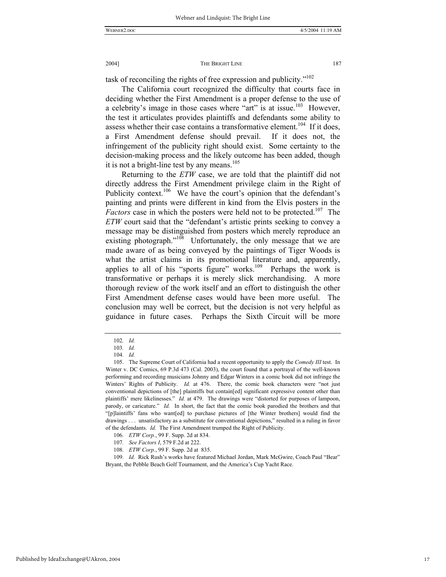task of reconciling the rights of free expression and publicity."<sup>102</sup>

The California court recognized the difficulty that courts face in deciding whether the First Amendment is a proper defense to the use of a celebrity's image in those cases where "art" is at issue.<sup>103</sup> However, the test it articulates provides plaintiffs and defendants some ability to assess whether their case contains a transformative element.<sup>104</sup> If it does, a First Amendment defense should prevail. If it does not, the infringement of the publicity right should exist. Some certainty to the decision-making process and the likely outcome has been added, though it is not a bright-line test by any means. $105$ 

Returning to the *ETW* case, we are told that the plaintiff did not directly address the First Amendment privilege claim in the Right of Publicity context.<sup>106</sup> We have the court's opinion that the defendant's painting and prints were different in kind from the Elvis posters in the *Factors* case in which the posters were held not to be protected.<sup>107</sup> The *ETW* court said that the "defendant's artistic prints seeking to convey a message may be distinguished from posters which merely reproduce an existing photograph."<sup>108</sup> Unfortunately, the only message that we are made aware of as being conveyed by the paintings of Tiger Woods is what the artist claims in its promotional literature and, apparently, applies to all of his "sports figure" works. $109$  Perhaps the work is transformative or perhaps it is merely slick merchandising. A more thorough review of the work itself and an effort to distinguish the other First Amendment defense cases would have been more useful. The conclusion may well be correct, but the decision is not very helpful as guidance in future cases. Perhaps the Sixth Circuit will be more

<sup>102</sup>*. Id.*

<sup>103</sup>*. Id.*

<sup>104</sup>*. Id.*

 <sup>105.</sup> The Supreme Court of California had a recent opportunity to apply the *Comedy III* test. In Winter v. DC Comics, 69 P.3d 473 (Cal. 2003), the court found that a portrayal of the well-known performing and recording musicians Johnny and Edgar Winters in a comic book did not infringe the Winters' Rights of Publicity. *Id.* at 476. There, the comic book characters were "not just conventional depictions of [the] plaintiffs but contain[ed] significant expressive content other than plaintiffs' mere likelinesses." *Id.* at 479. The drawings were "distorted for purposes of lampoon, parody, or caricature." *Id.* In short, the fact that the comic book parodied the brothers and that "[p]laintiffs' fans who want[ed] to purchase pictures of [the Winter brothers] would find the drawings . . . unsatisfactory as a substitute for conventional depictions," resulted in a ruling in favor of the defendants. *Id.* The First Amendment trumped the Right of Publicity.

<sup>106</sup>*. ETW Corp.*, 99 F. Supp. 2d at 834.

<sup>107</sup>*. See Factors I*, 579 F.2d at 222.

<sup>108</sup>*. ETW Corp.*, 99 F. Supp. 2d at 835.

<sup>109</sup>*. Id.* Rick Rush's works have featured Michael Jordan, Mark McGwire, Coach Paul "Bear" Bryant, the Pebble Beach Golf Tournament, and the America's Cup Yacht Race.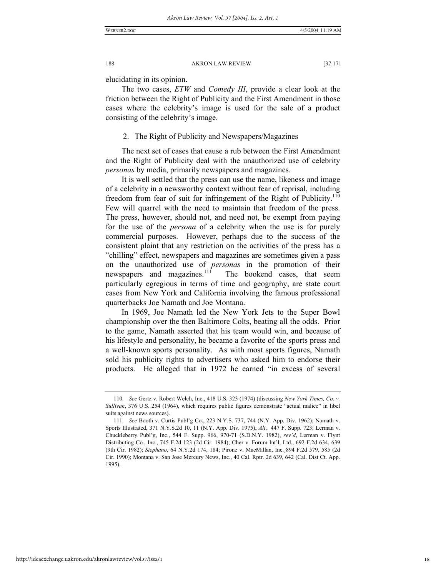elucidating in its opinion.

The two cases, *ETW* and *Comedy III*, provide a clear look at the friction between the Right of Publicity and the First Amendment in those cases where the celebrity's image is used for the sale of a product consisting of the celebrity's image.

#### 2. The Right of Publicity and Newspapers/Magazines

The next set of cases that cause a rub between the First Amendment and the Right of Publicity deal with the unauthorized use of celebrity *personas* by media, primarily newspapers and magazines.

It is well settled that the press can use the name, likeness and image of a celebrity in a newsworthy context without fear of reprisal, including freedom from fear of suit for infringement of the Right of Publicity.<sup>110</sup> Few will quarrel with the need to maintain that freedom of the press. The press, however, should not, and need not, be exempt from paying for the use of the *persona* of a celebrity when the use is for purely commercial purposes. However, perhaps due to the success of the consistent plaint that any restriction on the activities of the press has a "chilling" effect, newspapers and magazines are sometimes given a pass on the unauthorized use of *personas* in the promotion of their newspapers and magazines.<sup>111</sup> The bookend cases, that seem particularly egregious in terms of time and geography, are state court cases from New York and California involving the famous professional quarterbacks Joe Namath and Joe Montana.

In 1969, Joe Namath led the New York Jets to the Super Bowl championship over the then Baltimore Colts, beating all the odds. Prior to the game, Namath asserted that his team would win, and because of his lifestyle and personality, he became a favorite of the sports press and a well-known sports personality. As with most sports figures, Namath sold his publicity rights to advertisers who asked him to endorse their products. He alleged that in 1972 he earned "in excess of several

http://ideaexchange.uakron.edu/akronlawreview/vol37/iss2/1

<sup>110</sup>*. See* Gertz v. Robert Welch, Inc., 418 U.S. 323 (1974) (discussing *New York Times, Co. v. Sullivan*, 376 U.S. 254 (1964), which requires public figures demonstrate "actual malice" in libel suits against news sources).

<sup>111</sup>*. See* Booth v. Curtis Publ'g Co., 223 N.Y.S. 737, 744 (N.Y. App. Div. 1962); Namath v. Sports Illustrated, 371 N.Y.S.2d 10, 11 (N.Y. App. Div. 1975); *Ali*, 447 F. Supp. 723; Lerman v. Chuckleberry Publ'g, Inc., 544 F. Supp. 966, 970-71 (S.D.N.Y. 1982), *rev'd*, Lerman v. Flynt Distributing Co., Inc., 745 F.2d 123 (2d Cir. 1984); Cher v. Forum Int'l, Ltd., 692 F.2d 634, 639 (9th Cir. 1982); *Stephano*, 64 N.Y.2d 174, 184; Pirone v. MacMillan, Inc.¸894 F.2d 579, 585 (2d Cir. 1990); Montana v. San Jose Mercury News, Inc., 40 Cal. Rptr. 2d 639, 642 (Cal. Dist Ct. App. 1995).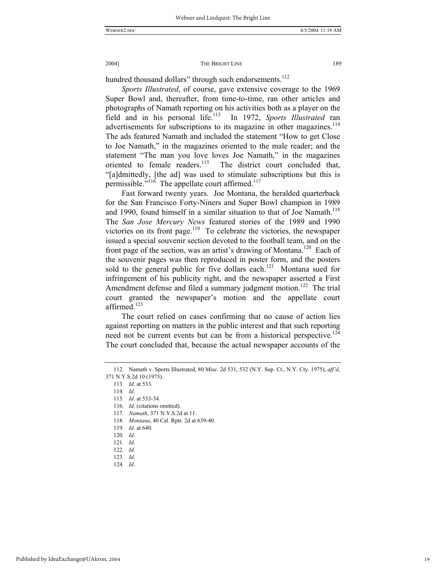hundred thousand dollars" through such endorsements.<sup>112</sup>

*Sports Illustrated*, of course, gave extensive coverage to the 1969 Super Bowl and, thereafter, from time-to-time, ran other articles and photographs of Namath reporting on his activities both as a player on the field and in his personal life.<sup>113</sup> In 1972, *Sports Illustrated* ran advertisements for subscriptions to its magazine in other magazines.<sup>114</sup> The ads featured Namath and included the statement "How to get Close to Joe Namath," in the magazines oriented to the male reader; and the statement "The man you love loves Joe Namath," in the magazines oriented to female readers.<sup>115</sup> The district court concluded that, The district court concluded that, "[a]dmittedly, [the ad] was used to stimulate subscriptions but this is permissible." $116$  The appellate court affirmed. $117$ 

Fast forward twenty years. Joe Montana, the heralded quarterback for the San Francisco Forty-Niners and Super Bowl champion in 1989 and 1990, found himself in a similar situation to that of Joe Namath.<sup>118</sup> The *San Jose Mercury News* featured stories of the 1989 and 1990 victories on its front page.<sup>119</sup> To celebrate the victories, the newspaper issued a special souvenir section devoted to the football team, and on the front page of the section, was an artist's drawing of Montana.120 Each of the souvenir pages was then reproduced in poster form, and the posters sold to the general public for five dollars each.<sup>121</sup> Montana sued for infringement of his publicity right, and the newspaper asserted a First Amendment defense and filed a summary judgment motion.<sup>122</sup> The trial court granted the newspaper's motion and the appellate court affirmed.<sup>123</sup>

The court relied on cases confirming that no cause of action lies against reporting on matters in the public interest and that such reporting need not be current events but can be from a historical perspective.<sup>124</sup> The court concluded that, because the actual newspaper accounts of the

114*. Id*.

- 118*. Montana*, 40 Cal. Rptr. 2d at 639-40.
- 119*. Id*. at 640.
- 120*. Id.*
- 121*. Id.*
- 122*. Id.*
- 123*. Id.*
- 124*. Id*.

 <sup>112.</sup> Namath v. Sports Illustrated, 80 Misc. 2d 531, 532 (N.Y. Sup. Ct., N.Y. Cty. 1975), *aff'd*, 371 N.Y.S.2d 10 (1975).

<sup>113</sup>*. Id*. at 533.

<sup>115</sup>*. Id*. at 533-34.

<sup>116</sup>*. Id.* (citations omitted).

<sup>117</sup>*. Namath*, 371 N.Y.S.2d at 11.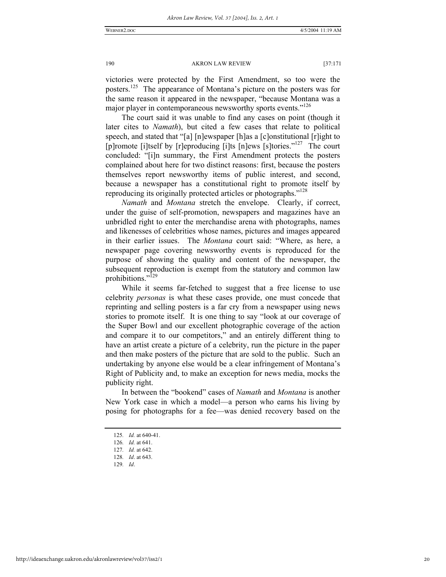victories were protected by the First Amendment, so too were the posters.125 The appearance of Montana's picture on the posters was for the same reason it appeared in the newspaper, "because Montana was a major player in contemporaneous newsworthy sports events."<sup>126</sup>

The court said it was unable to find any cases on point (though it later cites to *Namath*), but cited a few cases that relate to political speech, and stated that "[a] [n]ewspaper [h]as a [c]onstitutional [r]ight to [p]romote [i]tself by [r]eproducing [i]ts [n]ews [s]tories."<sup>127</sup> The court concluded: "[i]n summary, the First Amendment protects the posters complained about here for two distinct reasons: first, because the posters themselves report newsworthy items of public interest, and second, because a newspaper has a constitutional right to promote itself by reproducing its originally protected articles or photographs."<sup>128</sup>

*Namath* and *Montana* stretch the envelope. Clearly, if correct, under the guise of self-promotion, newspapers and magazines have an unbridled right to enter the merchandise arena with photographs, names and likenesses of celebrities whose names, pictures and images appeared in their earlier issues. The *Montana* court said: "Where, as here, a newspaper page covering newsworthy events is reproduced for the purpose of showing the quality and content of the newspaper, the subsequent reproduction is exempt from the statutory and common law prohibitions."<sup>129</sup>

While it seems far-fetched to suggest that a free license to use celebrity *personas* is what these cases provide, one must concede that reprinting and selling posters is a far cry from a newspaper using news stories to promote itself. It is one thing to say "look at our coverage of the Super Bowl and our excellent photographic coverage of the action and compare it to our competitors," and an entirely different thing to have an artist create a picture of a celebrity, run the picture in the paper and then make posters of the picture that are sold to the public. Such an undertaking by anyone else would be a clear infringement of Montana's Right of Publicity and, to make an exception for news media, mocks the publicity right.

In between the "bookend" cases of *Namath* and *Montana* is another New York case in which a model—a person who earns his living by posing for photographs for a fee—was denied recovery based on the

<sup>125</sup>*. Id.* at 640-41.

<sup>126</sup>*. Id.* at 641.

<sup>127</sup>*. Id.* at 642.

<sup>128</sup>*. Id*. at 643.

<sup>129</sup>*. Id*.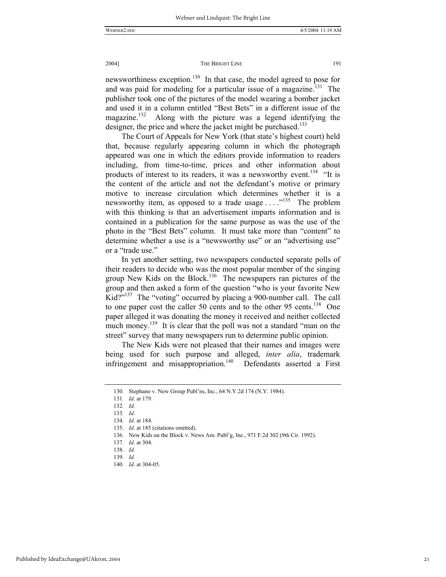newsworthiness exception.<sup>130</sup> In that case, the model agreed to pose for and was paid for modeling for a particular issue of a magazine.<sup>131</sup> The publisher took one of the pictures of the model wearing a bomber jacket and used it in a column entitled "Best Bets" in a different issue of the magazine.<sup>132</sup> Along with the picture was a legend identifying the designer, the price and where the jacket might be purchased.<sup>133</sup>

The Court of Appeals for New York (that state's highest court) held that, because regularly appearing column in which the photograph appeared was one in which the editors provide information to readers including, from time-to-time, prices and other information about products of interest to its readers, it was a newsworthy event.<sup>134</sup> "It is the content of the article and not the defendant's motive or primary motive to increase circulation which determines whether it is a newsworthy item, as opposed to a trade usage . . . .<sup>135</sup> The problem with this thinking is that an advertisement imparts information and is contained in a publication for the same purpose as was the use of the photo in the "Best Bets" column. It must take more than "content" to determine whether a use is a "newsworthy use" or an "advertising use" or a "trade use."

In yet another setting, two newspapers conducted separate polls of their readers to decide who was the most popular member of the singing group New Kids on the Block.<sup>136</sup> The newspapers ran pictures of the group and then asked a form of the question "who is your favorite New Kid?"<sup>137</sup> The "voting" occurred by placing a 900-number call. The call to one paper cost the caller 50 cents and to the other 95 cents.<sup>138</sup> One paper alleged it was donating the money it received and neither collected much money.<sup>139</sup> It is clear that the poll was not a standard "man on the street" survey that many newspapers run to determine public opinion.

The New Kids were not pleased that their names and images were being used for such purpose and alleged, *inter alia*, trademark infringement and misappropriation.<sup>140</sup> Defendants asserted a First

 <sup>130.</sup> Stephano v. New Group Publ'ns, Inc., 64 N.Y.2d 174 (N.Y. 1984).

<sup>131</sup>*. Id.* at 179.

<sup>132</sup>*. Id.*

<sup>133</sup>*. Id*.

<sup>134</sup>*. Id.* at 184.

<sup>135</sup>*. Id.* at 185 (citations omitted).

 <sup>136.</sup> New Kids on the Block v. News Am. Publ'g, Inc., 971 F.2d 302 (9th Cir. 1992).

<sup>137</sup>*. Id*. at 304.

<sup>138</sup>*. Id.*

<sup>139</sup>*. Id.*

<sup>140</sup>*. Id*. at 304-05.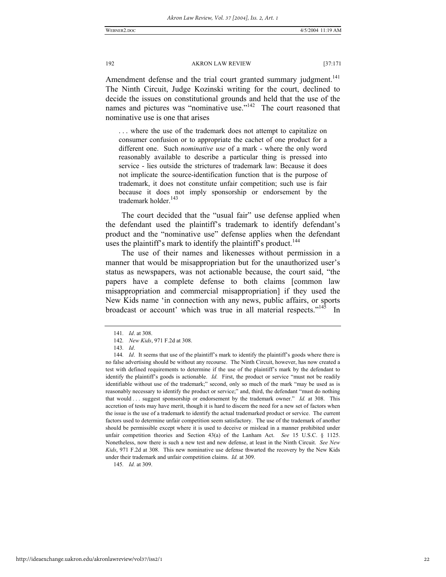Amendment defense and the trial court granted summary judgment.<sup>141</sup> The Ninth Circuit, Judge Kozinski writing for the court, declined to decide the issues on constitutional grounds and held that the use of the names and pictures was "nominative use."<sup>142</sup> The court reasoned that nominative use is one that arises

. . . where the use of the trademark does not attempt to capitalize on consumer confusion or to appropriate the cachet of one product for a different one. Such *nominative use* of a mark - where the only word reasonably available to describe a particular thing is pressed into service - lies outside the strictures of trademark law: Because it does not implicate the source-identification function that is the purpose of trademark, it does not constitute unfair competition; such use is fair because it does not imply sponsorship or endorsement by the trademark holder.<sup>143</sup>

The court decided that the "usual fair" use defense applied when the defendant used the plaintiff's trademark to identify defendant's product and the "nominative use" defense applies when the defendant uses the plaintiff's mark to identify the plaintiff's product.<sup>144</sup>

The use of their names and likenesses without permission in a manner that would be misappropriation but for the unauthorized user's status as newspapers, was not actionable because, the court said, "the papers have a complete defense to both claims [common law misappropriation and commercial misappropriation] if they used the New Kids name 'in connection with any news, public affairs, or sports broadcast or account' which was true in all material respects."<sup>145</sup> In

145*. Id.* at 309.

<sup>141</sup>*. Id*. at 308.

<sup>142</sup>*. New Kids*, 971 F.2d at 308.

<sup>143</sup>*. Id*.

<sup>144</sup>*. Id*. It seems that use of the plaintiff's mark to identify the plaintiff's goods where there is no false advertising should be without any recourse. The Ninth Circuit, however, has now created a test with defined requirements to determine if the use of the plaintiff's mark by the defendant to identify the plaintiff's goods is actionable. *Id.* First, the product or service "must not be readily identifiable without use of the trademark;" second, only so much of the mark "may be used as is reasonably necessary to identify the product or service;" and, third, the defendant "must do nothing that would . . . suggest sponsorship or endorsement by the trademark owner." *Id.* at 308. This accretion of tests may have merit, though it is hard to discern the need for a new set of factors when the issue is the use of a trademark to identify the actual trademarked product or service. The current factors used to determine unfair competition seem satisfactory. The use of the trademark of another should be permissible except where it is used to deceive or mislead in a manner prohibited under unfair competition theories and Section 43(a) of the Lanham Act. *See* 15 U.S.C. § 1125. Nonetheless, now there is such a new test and new defense, at least in the Ninth Circuit. *See New Kids*, 971 F.2d at 308. This new nominative use defense thwarted the recovery by the New Kids under their trademark and unfair competition claims. *Id.* at 309.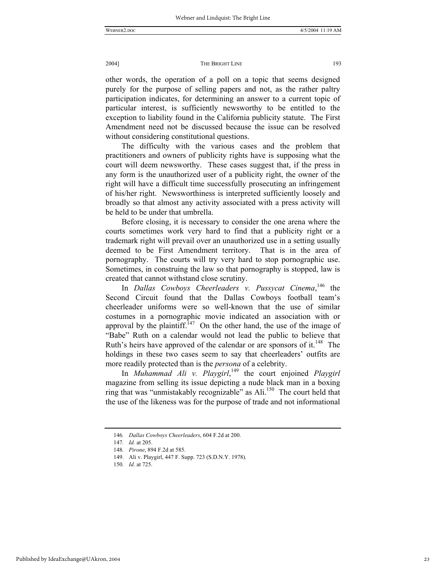other words, the operation of a poll on a topic that seems designed purely for the purpose of selling papers and not, as the rather paltry participation indicates, for determining an answer to a current topic of particular interest, is sufficiently newsworthy to be entitled to the exception to liability found in the California publicity statute. The First Amendment need not be discussed because the issue can be resolved without considering constitutional questions.

The difficulty with the various cases and the problem that practitioners and owners of publicity rights have is supposing what the court will deem newsworthy. These cases suggest that, if the press in any form is the unauthorized user of a publicity right, the owner of the right will have a difficult time successfully prosecuting an infringement of his/her right. Newsworthiness is interpreted sufficiently loosely and broadly so that almost any activity associated with a press activity will be held to be under that umbrella.

Before closing, it is necessary to consider the one arena where the courts sometimes work very hard to find that a publicity right or a trademark right will prevail over an unauthorized use in a setting usually deemed to be First Amendment territory. That is in the area of pornography. The courts will try very hard to stop pornographic use. Sometimes, in construing the law so that pornography is stopped, law is created that cannot withstand close scrutiny.

In *Dallas Cowboys Cheerleaders v. Pussycat Cinema*, 146 the Second Circuit found that the Dallas Cowboys football team's cheerleader uniforms were so well-known that the use of similar costumes in a pornographic movie indicated an association with or approval by the plaintiff.<sup>147</sup> On the other hand, the use of the image of "Babe" Ruth on a calendar would not lead the public to believe that Ruth's heirs have approved of the calendar or are sponsors of it.<sup>148</sup> The holdings in these two cases seem to say that cheerleaders' outfits are more readily protected than is the *persona* of a celebrity.

In *Muhammad Ali v. Playgirl*, 149 the court enjoined *Playgirl* magazine from selling its issue depicting a nude black man in a boxing ring that was "unmistakably recognizable" as Ali.<sup>150</sup> The court held that the use of the likeness was for the purpose of trade and not informational

<sup>146</sup>*. Dallas Cowboys Cheerleaders*, 604 F.2d at 200.

<sup>147</sup>*. Id.* at 205.

<sup>148</sup>*. Pirone*, 894 F.2d at 585.

 <sup>149.</sup> Ali v. Playgirl, 447 F. Supp. 723 (S.D.N.Y. 1978).

<sup>150</sup>*. Id.* at 725.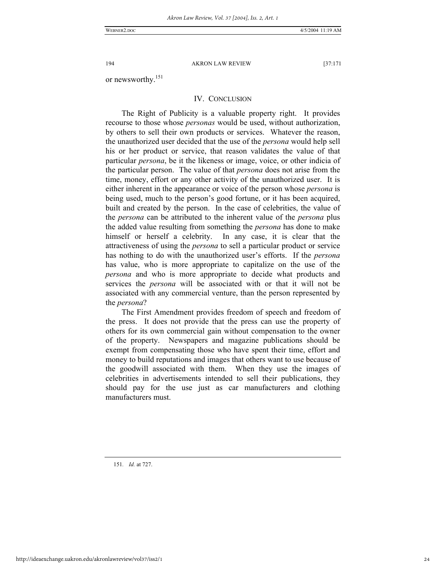WEBNER2.DOC 4/5/2004 11:19 AM

194 AKRON LAW REVIEW [37:171

or newsworthy.<sup>151</sup>

#### IV. CONCLUSION

The Right of Publicity is a valuable property right. It provides recourse to those whose *personas* would be used, without authorization, by others to sell their own products or services. Whatever the reason, the unauthorized user decided that the use of the *persona* would help sell his or her product or service, that reason validates the value of that particular *persona*, be it the likeness or image, voice, or other indicia of the particular person. The value of that *persona* does not arise from the time, money, effort or any other activity of the unauthorized user. It is either inherent in the appearance or voice of the person whose *persona* is being used, much to the person's good fortune, or it has been acquired, built and created by the person. In the case of celebrities, the value of the *persona* can be attributed to the inherent value of the *persona* plus the added value resulting from something the *persona* has done to make himself or herself a celebrity. In any case, it is clear that the attractiveness of using the *persona* to sell a particular product or service has nothing to do with the unauthorized user's efforts. If the *persona* has value, who is more appropriate to capitalize on the use of the *persona* and who is more appropriate to decide what products and services the *persona* will be associated with or that it will not be associated with any commercial venture, than the person represented by the *persona*?

The First Amendment provides freedom of speech and freedom of the press. It does not provide that the press can use the property of others for its own commercial gain without compensation to the owner of the property. Newspapers and magazine publications should be exempt from compensating those who have spent their time, effort and money to build reputations and images that others want to use because of the goodwill associated with them. When they use the images of celebrities in advertisements intended to sell their publications, they should pay for the use just as car manufacturers and clothing manufacturers must.

151*. Id.* at 727.

http://ideaexchange.uakron.edu/akronlawreview/vol37/iss2/1

24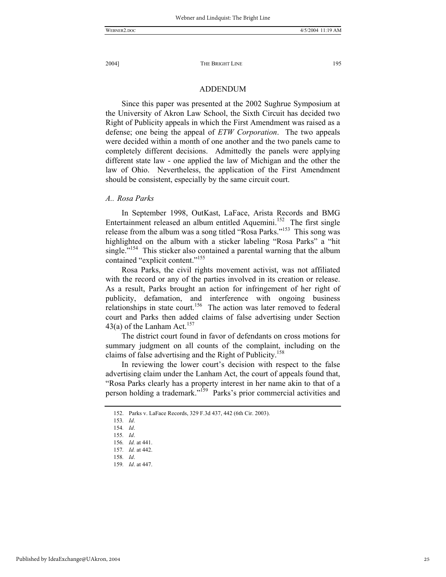#### ADDENDUM

Since this paper was presented at the 2002 Sughrue Symposium at the University of Akron Law School, the Sixth Circuit has decided two Right of Publicity appeals in which the First Amendment was raised as a defense; one being the appeal of *ETW Corporation*. The two appeals were decided within a month of one another and the two panels came to completely different decisions. Admittedly the panels were applying different state law - one applied the law of Michigan and the other the law of Ohio. Nevertheless, the application of the First Amendment should be consistent, especially by the same circuit court.

#### *A.. Rosa Parks*

In September 1998, OutKast, LaFace, Arista Records and BMG Entertainment released an album entitled Aquemini.<sup>152</sup> The first single release from the album was a song titled "Rosa Parks."<sup>153</sup> This song was highlighted on the album with a sticker labeling "Rosa Parks" a "hit single."<sup>154</sup> This sticker also contained a parental warning that the album contained "explicit content."<sup>155</sup>

Rosa Parks, the civil rights movement activist, was not affiliated with the record or any of the parties involved in its creation or release. As a result, Parks brought an action for infringement of her right of publicity, defamation, and interference with ongoing business relationships in state court.<sup>156</sup> The action was later removed to federal court and Parks then added claims of false advertising under Section 43(a) of the Lanham Act.<sup>157</sup>

The district court found in favor of defendants on cross motions for summary judgment on all counts of the complaint, including on the claims of false advertising and the Right of Publicity.<sup>158</sup>

In reviewing the lower court's decision with respect to the false advertising claim under the Lanham Act, the court of appeals found that, "Rosa Parks clearly has a property interest in her name akin to that of a person holding a trademark."<sup>159</sup> Parks's prior commercial activities and

 <sup>152.</sup> Parks v. LaFace Records, 329 F.3d 437, 442 (6th Cir. 2003).

<sup>153</sup>*. Id*.

<sup>154</sup>*. Id*.

<sup>155</sup>*. Id*.

<sup>156</sup>*. Id.* at 441.

<sup>157</sup>*. Id.* at 442.

<sup>158</sup>*. Id*.

<sup>159</sup>*. Id*. at 447.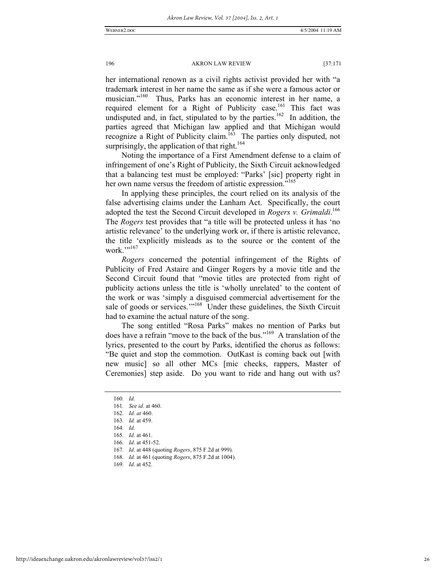her international renown as a civil rights activist provided her with "a trademark interest in her name the same as if she were a famous actor or musician."<sup>160</sup> Thus, Parks has an economic interest in her name, a required element for a Right of Publicity case.<sup>161</sup> This fact was undisputed and, in fact, stipulated to by the parties.<sup>162</sup> In addition, the parties agreed that Michigan law applied and that Michigan would recognize a Right of Publicity claim.<sup>163</sup> The parties only disputed, not surprisingly, the application of that right.<sup>164</sup>

Noting the importance of a First Amendment defense to a claim of infringement of one's Right of Publicity, the Sixth Circuit acknowledged that a balancing test must be employed: "Parks' [sic] property right in her own name versus the freedom of artistic expression."<sup>165</sup>

In applying these principles, the court relied on its analysis of the false advertising claims under the Lanham Act. Specifically, the court adopted the test the Second Circuit developed in *Rogers v. Grimaldi*. 166 The *Rogers* test provides that "a title will be protected unless it has 'no artistic relevance' to the underlying work or, if there is artistic relevance, the title 'explicitly misleads as to the source or the content of the work.""167

*Rogers* concerned the potential infringement of the Rights of Publicity of Fred Astaire and Ginger Rogers by a movie title and the Second Circuit found that "movie titles are protected from right of publicity actions unless the title is 'wholly unrelated' to the content of the work or was 'simply a disguised commercial advertisement for the sale of goods or services."<sup>168</sup> Under these guidelines, the Sixth Circuit had to examine the actual nature of the song.

The song entitled "Rosa Parks" makes no mention of Parks but does have a refrain "move to the back of the bus."<sup>169</sup> A translation of the lyrics, presented to the court by Parks, identified the chorus as follows: "Be quiet and stop the commotion. OutKast is coming back out [with new music] so all other MCs [mic checks, rappers, Master of Ceremonies] step aside. Do you want to ride and hang out with us?

http://ideaexchange.uakron.edu/akronlawreview/vol37/iss2/1

<sup>160</sup>*. Id*.

<sup>161</sup>*. See id*. at 460.

<sup>162</sup>*. Id. at* 460.

<sup>163</sup>*. Id.* at 459.

<sup>164</sup>*. Id*.

<sup>165</sup>*. Id*. at 461.

<sup>166</sup>*. Id*. at 451-52.

<sup>167</sup>*. Id*. at 448 (quoting *Rogers*, 875 F.2d at 999).

<sup>168</sup>*. Id.* at 461 (quoting *Rogers*, 875 F.2d at 1004).

<sup>169</sup>*. Id.* at 452.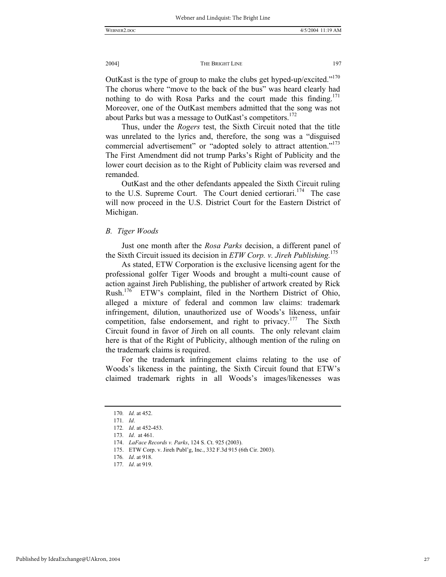OutKast is the type of group to make the clubs get hyped-up/excited."170 The chorus where "move to the back of the bus" was heard clearly had nothing to do with Rosa Parks and the court made this finding.<sup>171</sup> Moreover, one of the OutKast members admitted that the song was not about Parks but was a message to OutKast's competitors.<sup>172</sup>

Thus, under the *Rogers* test, the Sixth Circuit noted that the title was unrelated to the lyrics and, therefore, the song was a "disguised commercial advertisement" or "adopted solely to attract attention."<sup>173</sup> The First Amendment did not trump Parks's Right of Publicity and the lower court decision as to the Right of Publicity claim was reversed and remanded.

OutKast and the other defendants appealed the Sixth Circuit ruling to the U.S. Supreme Court. The Court denied certiorari.<sup>174</sup> The case will now proceed in the U.S. District Court for the Eastern District of Michigan.

#### *B. Tiger Woods*

Just one month after the *Rosa Parks* decision, a different panel of the Sixth Circuit issued its decision in *ETW Corp. v. Jireh Publishing.*<sup>175</sup>

As stated, ETW Corporation is the exclusive licensing agent for the professional golfer Tiger Woods and brought a multi-count cause of action against Jireh Publishing, the publisher of artwork created by Rick Rush.176 ETW's complaint, filed in the Northern District of Ohio, alleged a mixture of federal and common law claims: trademark infringement, dilution, unauthorized use of Woods's likeness, unfair competition, false endorsement, and right to privacy.<sup>177</sup> The Sixth Circuit found in favor of Jireh on all counts. The only relevant claim here is that of the Right of Publicity, although mention of the ruling on the trademark claims is required.

For the trademark infringement claims relating to the use of Woods's likeness in the painting, the Sixth Circuit found that ETW's claimed trademark rights in all Woods's images/likenesses was

<sup>170</sup>*. Id.* at 452.

<sup>171</sup>*. Id*.

<sup>172</sup>*. Id*. at 452-453.

<sup>173</sup>*. Id*. at 461.

 <sup>174.</sup> *LaFace Records v. Parks*, 124 S. Ct. 925 (2003).

 <sup>175.</sup> ETW Corp. v. Jireh Publ'g, Inc., 332 F.3d 915 (6th Cir. 2003).

<sup>176</sup>*. Id*. at 918.

<sup>177</sup>*. Id*. at 919.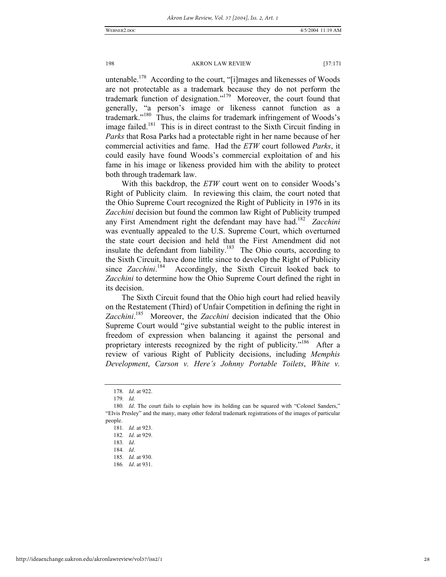untenable.<sup>178</sup> According to the court, "[i]mages and likenesses of Woods are not protectable as a trademark because they do not perform the trademark function of designation."179 Moreover, the court found that generally, "a person's image or likeness cannot function as a trademark."180 Thus, the claims for trademark infringement of Woods's image failed.<sup>181</sup> This is in direct contrast to the Sixth Circuit finding in *Parks* that Rosa Parks had a protectable right in her name because of her commercial activities and fame. Had the *ETW* court followed *Parks*, it could easily have found Woods's commercial exploitation of and his fame in his image or likeness provided him with the ability to protect both through trademark law.

With this backdrop, the *ETW* court went on to consider Woods's Right of Publicity claim. In reviewing this claim, the court noted that the Ohio Supreme Court recognized the Right of Publicity in 1976 in its *Zacchini* decision but found the common law Right of Publicity trumped any First Amendment right the defendant may have had.182 *Zacchini* was eventually appealed to the U.S. Supreme Court, which overturned the state court decision and held that the First Amendment did not insulate the defendant from liability.<sup>183</sup> The Ohio courts, according to the Sixth Circuit, have done little since to develop the Right of Publicity since *Zacchini*.<sup>184</sup> Accordingly, the Sixth Circuit looked back to *Zacchini* to determine how the Ohio Supreme Court defined the right in its decision.

The Sixth Circuit found that the Ohio high court had relied heavily on the Restatement (Third) of Unfair Competition in defining the right in *Zacchini*. 185 Moreover, the *Zacchini* decision indicated that the Ohio Supreme Court would "give substantial weight to the public interest in freedom of expression when balancing it against the personal and proprietary interests recognized by the right of publicity."<sup>186</sup> After a review of various Right of Publicity decisions, including *Memphis Development*, *Carson v. Here's Johnny Portable Toilets*, *White v.* 

<sup>178</sup>*. Id*. at 922.

<sup>179</sup>*. Id.*

<sup>180</sup>*. Id*. The court fails to explain how its holding can be squared with "Colonel Sanders," "Elvis Presley" and the many, many other federal trademark registrations of the images of particular people.

<sup>181</sup>*. Id.* at 923.

<sup>182</sup>*. Id*. at 929.

<sup>183</sup>*. Id*.

<sup>184</sup>*. Id*.

<sup>185</sup>*. Id.* at 930.

<sup>186</sup>*. Id*. at 931.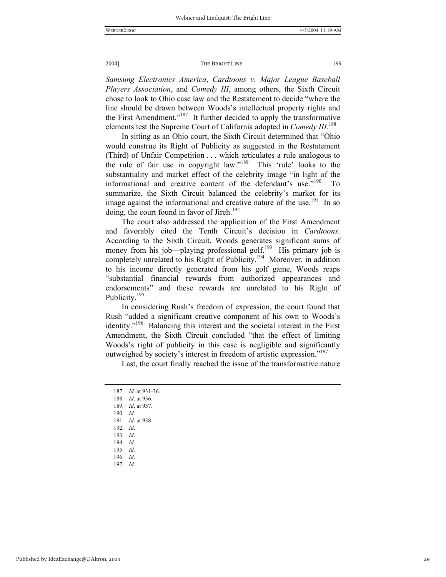*Samsung Electronics America*, *Cardtoons v. Major League Baseball Players Association*, and *Comedy III*, among others, the Sixth Circuit chose to look to Ohio case law and the Restatement to decide "where the line should be drawn between Woods's intellectual property rights and the First Amendment."187 It further decided to apply the transformative elements test the Supreme Court of California adopted in *Comedy III*. 188

In sitting as an Ohio court, the Sixth Circuit determined that "Ohio would construe its Right of Publicity as suggested in the Restatement (Third) of Unfair Competition . . . which articulates a rule analogous to the rule of fair use in copyright law."189 This 'rule' looks to the substantiality and market effect of the celebrity image "in light of the informational and creative content of the defendant's use."<sup>190</sup> To summarize, the Sixth Circuit balanced the celebrity's market for its image against the informational and creative nature of the use.<sup>191</sup> In so doing, the court found in favor of Jireh.<sup>192</sup>

The court also addressed the application of the First Amendment and favorably cited the Tenth Circuit's decision in *Cardtoons*. According to the Sixth Circuit, Woods generates significant sums of money from his job—playing professional golf.<sup>193</sup> His primary job is completely unrelated to his Right of Publicity.<sup>194</sup> Moreover, in addition to his income directly generated from his golf game, Woods reaps "substantial financial rewards from authorized appearances and endorsements" and these rewards are unrelated to his Right of Publicity.<sup>195</sup>

In considering Rush's freedom of expression, the court found that Rush "added a significant creative component of his own to Woods's identity."196 Balancing this interest and the societal interest in the First Amendment, the Sixth Circuit concluded "that the effect of limiting Woods's right of publicity in this case is negligible and significantly outweighed by society's interest in freedom of artistic expression."<sup>197</sup>

Last, the court finally reached the issue of the transformative nature

<sup>187</sup>*. Id.* at 931-36. 188*. Id*. at 936. 189*. Id*. at 937. 190*. Id.* 191*. Id*. at 938 192*. Id*. 193*. Id*. 194*. Id*. 195*. Id.* 196*. Id*. 197*. Id*.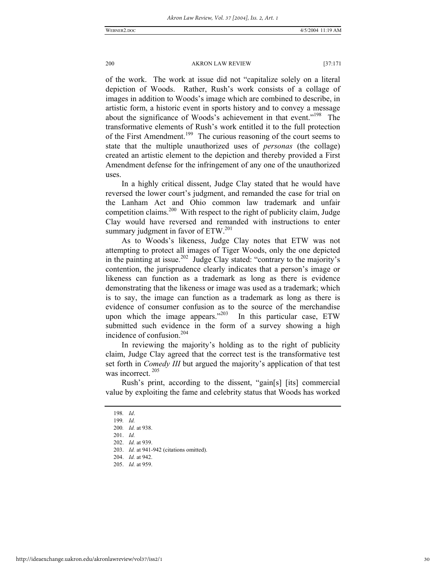of the work. The work at issue did not "capitalize solely on a literal depiction of Woods. Rather, Rush's work consists of a collage of images in addition to Woods's image which are combined to describe, in artistic form, a historic event in sports history and to convey a message about the significance of Woods's achievement in that event."<sup>198</sup> The transformative elements of Rush's work entitled it to the full protection of the First Amendment.<sup>199</sup> The curious reasoning of the court seems to state that the multiple unauthorized uses of *personas* (the collage) created an artistic element to the depiction and thereby provided a First Amendment defense for the infringement of any one of the unauthorized uses.

In a highly critical dissent, Judge Clay stated that he would have reversed the lower court's judgment, and remanded the case for trial on the Lanham Act and Ohio common law trademark and unfair competition claims.<sup>200</sup> With respect to the right of publicity claim, Judge Clay would have reversed and remanded with instructions to enter summary judgment in favor of ETW.<sup>201</sup>

As to Woods's likeness, Judge Clay notes that ETW was not attempting to protect all images of Tiger Woods, only the one depicted in the painting at issue.<sup>202</sup> Judge Clay stated: "contrary to the majority's contention, the jurisprudence clearly indicates that a person's image or likeness can function as a trademark as long as there is evidence demonstrating that the likeness or image was used as a trademark; which is to say, the image can function as a trademark as long as there is evidence of consumer confusion as to the source of the merchandise upon which the image appears." $203$  In this particular case, ETW submitted such evidence in the form of a survey showing a high incidence of confusion.204

In reviewing the majority's holding as to the right of publicity claim, Judge Clay agreed that the correct test is the transformative test set forth in *Comedy III* but argued the majority's application of that test was incorrect.<sup>205</sup>

Rush's print, according to the dissent, "gain[s] [its] commercial value by exploiting the fame and celebrity status that Woods has worked

<sup>198</sup>*. Id*.

<sup>199</sup>*. Id.*

 <sup>200</sup>*. Id.* at 938.

 <sup>201.</sup> *Id.* 202. *Id.* at 939.

 <sup>203.</sup> *Id.* at 941-942 (citations omitted).

 <sup>204.</sup> *Id.* at 942. 205. *Id.* at 959.